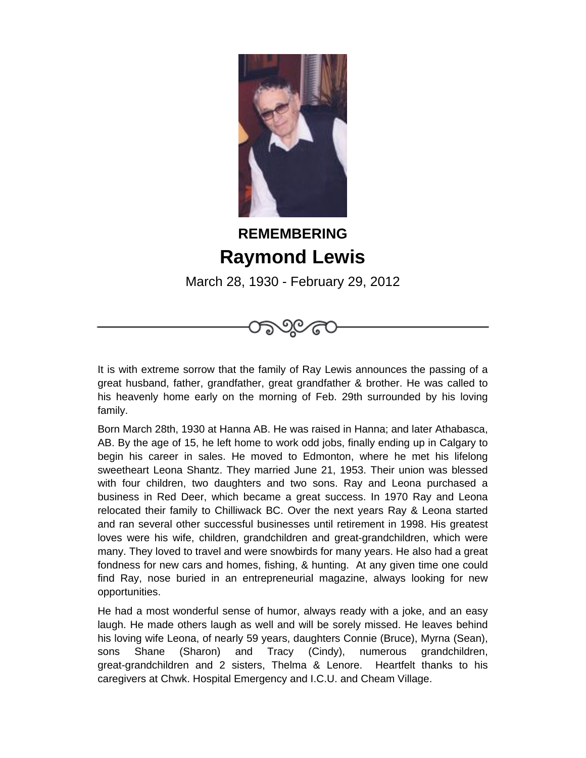

## **REMEMBERING Raymond Lewis**

March 28, 1930 - February 29, 2012

೨೦⁄೯



Born March 28th, 1930 at Hanna AB. He was raised in Hanna; and later Athabasca, AB. By the age of 15, he left home to work odd jobs, finally ending up in Calgary to begin his career in sales. He moved to Edmonton, where he met his lifelong sweetheart Leona Shantz. They married June 21, 1953. Their union was blessed with four children, two daughters and two sons. Ray and Leona purchased a business in Red Deer, which became a great success. In 1970 Ray and Leona relocated their family to Chilliwack BC. Over the next years Ray & Leona started and ran several other successful businesses until retirement in 1998. His greatest loves were his wife, children, grandchildren and great-grandchildren, which were many. They loved to travel and were snowbirds for many years. He also had a great fondness for new cars and homes, fishing, & hunting. At any given time one could find Ray, nose buried in an entrepreneurial magazine, always looking for new opportunities.

He had a most wonderful sense of humor, always ready with a joke, and an easy laugh. He made others laugh as well and will be sorely missed. He leaves behind his loving wife Leona, of nearly 59 years, daughters Connie (Bruce), Myrna (Sean), sons Shane (Sharon) and Tracy (Cindy), numerous grandchildren, great-grandchildren and 2 sisters, Thelma & Lenore. Heartfelt thanks to his caregivers at Chwk. Hospital Emergency and I.C.U. and Cheam Village.